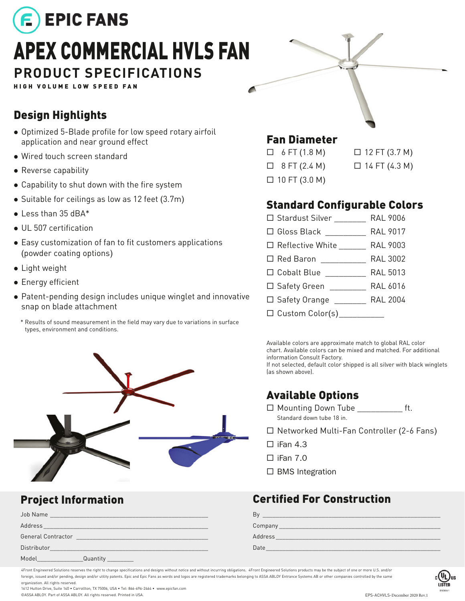

HIGH VOLUME LOW SPEED FAN

#### Design Highlights

- Optimized 5-Blade profile for low speed rotary airfoil application and near ground effect
- Wired touch screen standard
- Reverse capability
- Capability to shut down with the fire system
- $\bullet$  Suitable for ceilings as low as 12 feet (3.7m)
- $\bullet$  Less than 35 dBA\*
- UL 507 certification
- Easy customization of fan to fit customers applications (powder coating options)
- Light weight
- Energy efficient
- Patent-pending design includes unique winglet and innovative snap on blade attachment
	- \* Results of sound measurement in the field may vary due to variations in surface types, environment and conditions.



| Job Name           | <u> 1986 - Jan Sterling, mars and de la provincia de la provincia de la provincia de la provincia de la provincia</u> |  |  |
|--------------------|-----------------------------------------------------------------------------------------------------------------------|--|--|
| Address            | <u> 1989 - Johann John Stone, Amerikaansk politiker († 1908)</u>                                                      |  |  |
| General Contractor |                                                                                                                       |  |  |
| Distributor        |                                                                                                                       |  |  |
| Model              | Quantity                                                                                                              |  |  |

### Fan Diameter

| $\Box$ 6 FT (1.8 M)  | □ |
|----------------------|---|
| $\Box$ 8 FT (2.4 M)  | ⊔ |
| $\Box$ 10 FT (3.0 M) |   |

 12 FT (3.7 M) 14 FT (4.3 M)

#### Standard Configurable Colors

| □ Stardust Silver _______    | <b>RAL 9006</b> |
|------------------------------|-----------------|
|                              |                 |
| □ Reflective White RAL 9003  |                 |
|                              |                 |
| □ Cobalt Blue RAL 5013       |                 |
| □ Safety Green RAL 6016      |                 |
| □ Safety Orange RAL 2004     |                 |
| □ Custom Color(s)___________ |                 |

Available colors are approximate match to global RAL color chart. Available colors can be mixed and matched. For additional information Consult Factory. If not selected, default color shipped is all silver with black winglets (as shown above).

### Available Options

- $\Box$  Mounting Down Tube ft. Standard down tube 18 in.
- □ Networked Multi-Fan Controller (2-6 Fans)
- $\Box$  iFan 4.3
- $\square$  iFan 7.0
- $\square$  BMS Integration

#### **Project Information Certified For Construction**

| R.      |  |
|---------|--|
| Company |  |
| Address |  |
| Date    |  |

4Front Engineered Solutions reserves the right to change specifications and designs without notice and without incurring obligations. 4Front Engineered Solutions products may be the subject of one or more U.S. and/or foreign, issued and/or pending, design and/or utility patents. Epic and Epic Fans as words and logos are registered trademarks belonging to ASSA ABLOY Entrance Systems AB or other companies controlled by the same organization. All rights reserved.

1612 Hutton Drive, Suite 140 • Carrollton, TX 75006, USA • Tel: 866-696-2464 • www.epicfan.com ©ASSA ABLOY. Part of ASSA ABLOY. All rights reserved. Printed in USA.

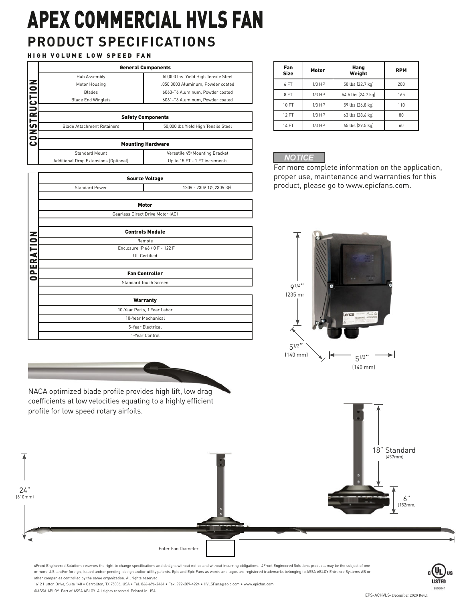## **PRODUCT SPECIFICATIONS** APEX COMMERCIAL HVLS FAN

#### HIGH VOLUME LOW SPEED FAN

|                                                                        | <b>General Components</b>         |                                      |  |  |  |  |  |  |  |  |  |  |
|------------------------------------------------------------------------|-----------------------------------|--------------------------------------|--|--|--|--|--|--|--|--|--|--|
|                                                                        | Hub Assembly                      | 50,000 lbs. Yield High Tensile Steel |  |  |  |  |  |  |  |  |  |  |
|                                                                        | Motor Housing                     | .050 3003 Aluminum, Powder coated    |  |  |  |  |  |  |  |  |  |  |
|                                                                        | <b>Blades</b>                     | 6063-T6 Aluminum, Powder coated      |  |  |  |  |  |  |  |  |  |  |
|                                                                        | <b>Blade End Winglets</b>         | 6061-T6 Aluminum, Powder coated      |  |  |  |  |  |  |  |  |  |  |
|                                                                        |                                   |                                      |  |  |  |  |  |  |  |  |  |  |
| <b>CONSTRUCTION</b>                                                    |                                   | <b>Safety Components</b>             |  |  |  |  |  |  |  |  |  |  |
|                                                                        | <b>Blade Attachment Retainers</b> | 50,000 lbs Yield High Tensile Steel  |  |  |  |  |  |  |  |  |  |  |
|                                                                        |                                   |                                      |  |  |  |  |  |  |  |  |  |  |
|                                                                        | <b>Mounting Hardware</b>          |                                      |  |  |  |  |  |  |  |  |  |  |
|                                                                        | <b>Standard Mount</b>             | Versatile 45° Mounting Bracket       |  |  |  |  |  |  |  |  |  |  |
| Additional Drop Extensions (Optional)<br>Up to 15 FT - 1 FT increments |                                   |                                      |  |  |  |  |  |  |  |  |  |  |

|          |                                                      | <b>Source Voltage</b>                     |  |  |  |  |
|----------|------------------------------------------------------|-------------------------------------------|--|--|--|--|
|          | <b>Standard Power</b>                                | 120V - 230V 1Ø, 230V 3Ø                   |  |  |  |  |
|          |                                                      | Motor<br>Gearless Direct Drive Motor (AC) |  |  |  |  |
|          |                                                      | <b>Controls Module</b>                    |  |  |  |  |
|          |                                                      | Remote                                    |  |  |  |  |
|          | Enclosure IP 66 / 0 F - 122 F<br><b>UL</b> Certified |                                           |  |  |  |  |
| PERATION |                                                      |                                           |  |  |  |  |
|          |                                                      | <b>Fan Controller</b>                     |  |  |  |  |
| 0        |                                                      | <b>Standard Touch Screen</b>              |  |  |  |  |
|          |                                                      | <b>Warranty</b>                           |  |  |  |  |
|          |                                                      | 10-Year Parts, 1 Year Labor               |  |  |  |  |
|          |                                                      | 10-Year Mechanical                        |  |  |  |  |
|          |                                                      | 5-Year Electrical                         |  |  |  |  |
|          |                                                      | 1-Year Control                            |  |  |  |  |

NACA optimized blade profile provides high lift, low drag coefficients at low velocities equating to a highly efficient

| Fan<br><b>Size</b> | Motor    | Hang<br>Weight     | <b>RPM</b> |
|--------------------|----------|--------------------|------------|
| 6 FT               | $1/3$ HP | 50 lbs (22.7 kg)   | 200        |
| 8FT                | $1/3$ HP | 54.5 lbs (24.7 kg) | 165        |
| 10 FT              | $1/3$ HP | 59 lbs (26.8 kg)   | 110        |
| <b>12 FT</b>       | $1/3$ HP | 63 lbs (28.6 kg)   | 80         |
| <b>14 FT</b>       | $1/3$ HP | 65 lbs (29.5 kg)   | 60         |

#### **NOTICE**

For more complete information on the application, proper use, maintenance and warranties for this product, please go t[o www.epicfans.com](www.epicfans.com).





4Front Engineered Solutions reserves the right to change specifications and designs without notice and without incurring obligations. 4Front Engineered Solutions products may be the subject of one or more U.S. and/or foreign, issued and/or pending, design and/or utility patents. Epic and Epic Fans as words and logos are registered trademarks belonging to ASSA ABLOY Entrance Systems AB or other companies controlled by the same organization. All rights reserved.

1612 Hutton Drive, Suite 140 • Carrollton, TX 75006, USA • Tel: 866-696-2464 • Fax: 972-389-4224 • HVLSFans@epic.com • www.epicfan.com ©ASSA ABLOY. Part of ASSA ABLOY. All rights reserved. Printed in USA.